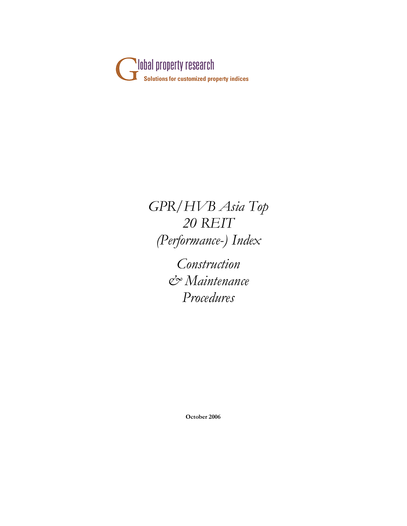

*GPR/HVB Asia Top 20 REIT (Performance-) Index*

> *Construction & Maintenance Procedures*

> > **October 2006**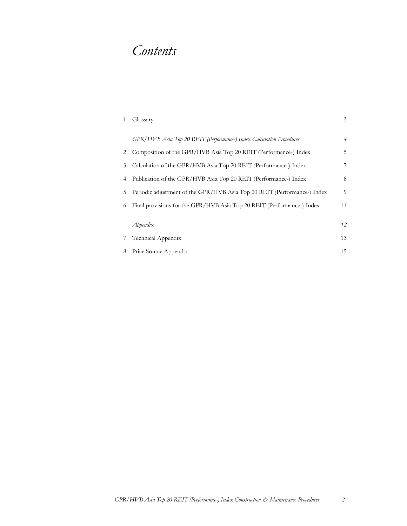# *Contents*

|   | Glossary                                                                 | 3              |
|---|--------------------------------------------------------------------------|----------------|
|   | GPR/HVB Asia Top 20 REIT (Performance-) Index Calculation Procedures     | $\overline{4}$ |
| 2 | Composition of the GPR/HVB Asia Top 20 REIT (Performance-) Index         | 5              |
| 3 | Calculation of the GPR/HVB Asia Top 20 REIT (Performance-) Index         | 7              |
| 4 | Publication of the GPR/HVB Asia Top 20 REIT (Performance-) Index         | 8              |
| 5 | Periodic adjustment of the GPR/HVB Asia Top 20 REIT (Performance-) Index | 9              |
| 6 | Final provisions for the GPR/HVB Asia Top 20 REIT (Performance-) Index   | 11             |
|   |                                                                          |                |
|   | $A$ ppendi $x$                                                           | 12             |
|   | Technical Appendix                                                       | 13             |
| 8 | Price Source Appendix                                                    | 15             |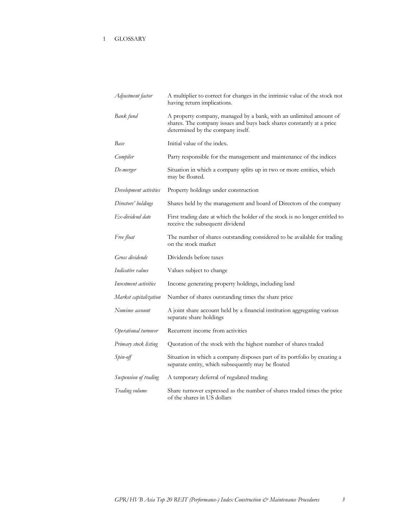# 1 GLOSSARY

| Adjustment factor      | A multiplier to correct for changes in the intrinsic value of the stock not<br>having return implications.                                                                       |
|------------------------|----------------------------------------------------------------------------------------------------------------------------------------------------------------------------------|
| Bank fund              | A property company, managed by a bank, with an unlimited amount of<br>shares. The company issues and buys back shares constantly at a price<br>determined by the company itself. |
| Base                   | Initial value of the index.                                                                                                                                                      |
| Compiler               | Party responsible for the management and maintenance of the indices                                                                                                              |
| De-merger              | Situation in which a company splits up in two or more entities, which<br>may be floated.                                                                                         |
| Development activities | Property holdings under construction                                                                                                                                             |
| Directors' holdings    | Shares held by the management and board of Directors of the company                                                                                                              |
| Ex-dividend date       | First trading date at which the holder of the stock is no longer entitled to<br>receive the subsequent dividend                                                                  |
| Free float             | The number of shares outstanding considered to be available for trading<br>on the stock market                                                                                   |
| Gross dividends        | Dividends before taxes                                                                                                                                                           |
| Indicative values      | Values subject to change                                                                                                                                                         |
| Investment activities  | Income generating property holdings, including land                                                                                                                              |
| Market capitalization  | Number of shares outstanding times the share price                                                                                                                               |
| Nominee account        | A joint share account held by a financial institution aggregating various<br>separate share holdings                                                                             |
| Operational turnover   | Recurrent income from activities                                                                                                                                                 |
| Primary stock listing  | Quotation of the stock with the highest number of shares traded                                                                                                                  |
| Spin-off               | Situation in which a company disposes part of its portfolio by creating a<br>separate entity, which subsequently may be floated                                                  |
| Suspension of trading  | A temporary deferral of regulated trading                                                                                                                                        |
| Trading volume         | Share turnover expressed as the number of shares traded times the price<br>of the shares in US dollars                                                                           |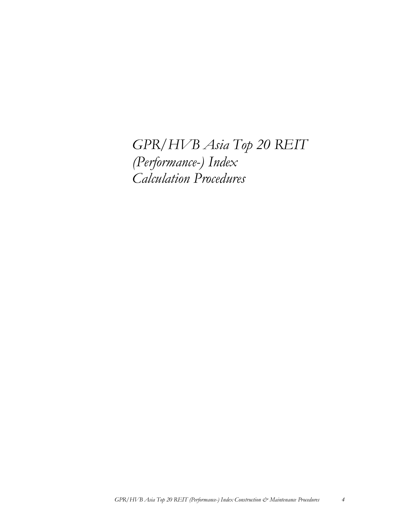*GPR/HVB Asia Top 20 REIT (Performance-) Index Calculation Procedures*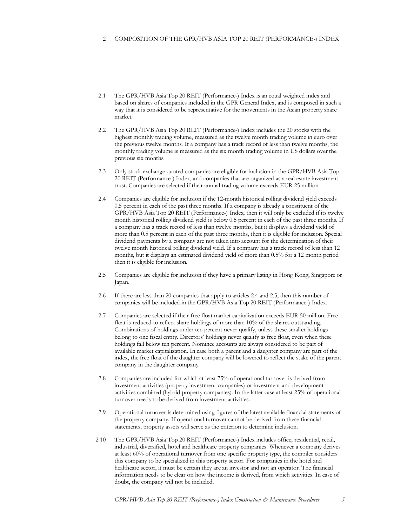## 2 COMPOSITION OF THE GPR/HVB ASIA TOP 20 REIT (PERFORMANCE-) INDEX

- 2.1 The GPR/HVB Asia Top 20 REIT (Performance-) Index is an equal weighted index and based on shares of companies included in the GPR General Index, and is composed in such a way that it is considered to be representative for the movements in the Asian property share market.
- 2.2 The GPR/HVB Asia Top 20 REIT (Performance-) Index includes the 20 stocks with the highest monthly trading volume, measured as the twelve month trading volume in euro over the previous twelve months. If a company has a track record of less than twelve months, the monthly trading volume is measured as the six month trading volume in US dollars over the previous six months.
- 2.3 Only stock exchange quoted companies are eligible for inclusion in the GPR/HVB Asia Top 20 REIT (Performance-) Index, and companies that are organized as a real estate investment trust. Companies are selected if their annual trading volume exceeds EUR 25 million.
- 2.4 Companies are eligible for inclusion if the 12-month historical rolling dividend yield exceeds 0.5 percent in each of the past three months. If a company is already a constituent of the GPR/HVB Asia Top 20 REIT (Performance-) Index, then it will only be excluded if its twelve month historical rolling dividend yield is below 0.5 percent in each of the past three months. If a company has a track record of less than twelve months, but it displays a dividend yield of more than 0.5 percent in each of the past three months, then it is eligible for inclusion. Special dividend payments by a company are not taken into account for the determination of their twelve month historical rolling dividend yield. If a company has a track record of less than 12 months, but it displays an estimated dividend yield of more than 0.5% for a 12 month period then it is eligible for inclusion.
- 2.5 Companies are eligible for inclusion if they have a primary listing in Hong Kong, Singapore or Japan.
- 2.6 If there are less than 20 companies that apply to articles 2.4 and 2.5, then this number of companies will be included in the GPR/HVB Asia Top 20 REIT (Performance-) Index.
- 2.7 Companies are selected if their free float market capitalization exceeds EUR 50 million. Free float is reduced to reflect share holdings of more than 10% of the shares outstanding. Combinations of holdings under ten percent never qualify, unless these smaller holdings belong to one fiscal entity. Directors' holdings never qualify as free float, even when these holdings fall below ten percent. Nominee accounts are always considered to be part of available market capitalization. In case both a parent and a daughter company are part of the index, the free float of the daughter company will be lowered to reflect the stake of the parent company in the daughter company.
- 2.8 Companies are included for which at least 75% of operational turnover is derived from investment activities (property investment companies) or investment and development activities combined (hybrid property companies). In the latter case at least 25% of operational turnover needs to be derived from investment activities.
- 2.9 Operational turnover is determined using figures of the latest available financial statements of the property company. If operational turnover cannot be derived from these financial statements, property assets will serve as the criterion to determine inclusion.
- 2.10 The GPR/HVB Asia Top 20 REIT (Performance-) Index includes office, residential, retail, industrial, diversified, hotel and healthcare property companies. Whenever a company derives at least 60% of operational turnover from one specific property type, the compiler considers this company to be specialized in this property sector. For companies in the hotel and healthcare sector, it must be certain they are an investor and not an operator. The financial information needs to be clear on how the income is derived, from which activities. In case of doubt, the company will not be included.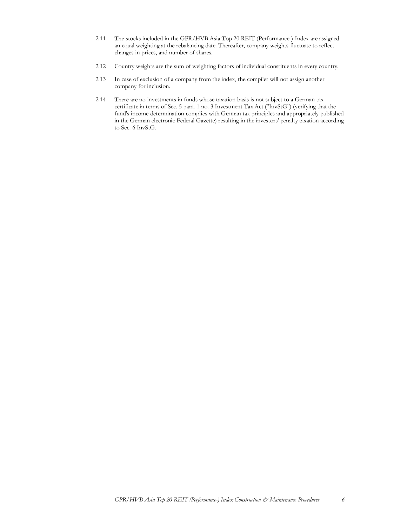- 2.11 The stocks included in the GPR/HVB Asia Top 20 REIT (Performance-) Index are assigned an equal weighting at the rebalancing date. Thereafter, company weights fluctuate to reflect changes in prices, and number of shares.
- 2.12 Country weights are the sum of weighting factors of individual constituents in every country.
- 2.13 In case of exclusion of a company from the index, the compiler will not assign another company for inclusion.
- 2.14 There are no investments in funds whose taxation basis is not subject to a German tax certificate in terms of Sec. 5 para. 1 no. 3 Investment Tax Act ("InvStG") (verifying that the fund's income determination complies with German tax principles and appropriately published in the German electronic Federal Gazette) resulting in the investors' penalty taxation according to Sec. 6 InvStG.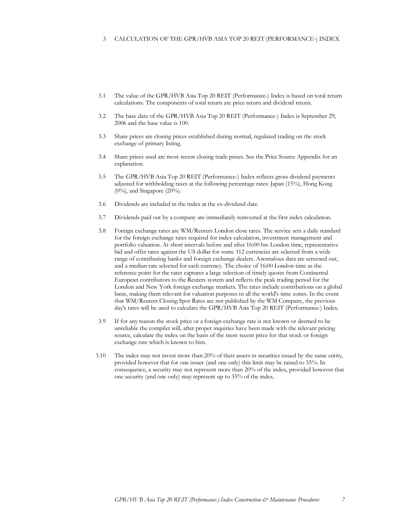#### 3 CALCULATION OF THE GPR/HVB ASIA TOP 20 REIT (PERFORMANCE-) INDEX

- 3.1 The value of the GPR/HVB Asia Top 20 REIT (Performance-) Index is based on total return calculations. The components of total return are price return and dividend return.
- 3.2 The base date of the GPR/HVB Asia Top 20 REIT (Performance-) Index is September 29, 2006 and the base value is 100.
- 3.3 Share prices are closing prices established during normal, regulated trading on the stock exchange of primary listing.
- 3.4 Share prices used are most recent closing trade prices. See the Price Source Appendix for an explanation.
- 3.5 The GPR/HVB Asia Top 20 REIT (Performance-) Index reflects gross dividend payments adjusted for withholding taxes at the following percentage rates: Japan (15%), Hong Kong  $(0\%)$ , and Singapore  $(20\%)$ .
- 3.6 Dividends are included in the index at the ex-dividend date.
- 3.7 Dividends paid out by a company are immediately reinvested at the first index calculation.
- 3.8 Foreign exchange rates are WM/Reuters London close rates. The service sets a daily standard for the foreign exchange rates required for index calculation, investment management and portfolio valuation. At short intervals before and after 16:00 hrs London time, representative bid and offer rates against the US dollar for some 112 currencies are selected from a wide range of contributing banks and foreign exchange dealers. Anomalous data are screened out, and a median rate selected for each currency. The choice of 16:00 London time as the reference point for the rates captures a large selection of timely quotes from Continental European contributors to the Reuters system and reflects the peak trading period for the London and New York foreign exchange markets. The rates include contributions on a global basis, making them relevant for valuation purposes in all the world's time zones. In the event that WM/Reuters Closing Spot Rates are not published by the WM Company, the previous day's rates will be used to calculate the GPR/HVB Asia Top 20 REIT (Performance-) Index.
- 3.9 If for any reason the stock price or a foreign exchange rate is not known or deemed to be unreliable the compiler will, after proper inquiries have been made with the relevant pricing source, calculate the index on the basis of the most recent price for that stock or foreign exchange rate which is known to him.
- 3.10 The index may not invest more than 20% of their assets in securities issued by the same entity, provided however that for one issuer (and one only) this limit may be raised to 35%. In consequence, a security may not represent more than 20% of the index, provided however that one security (and one only) may represent up to 35% of the index.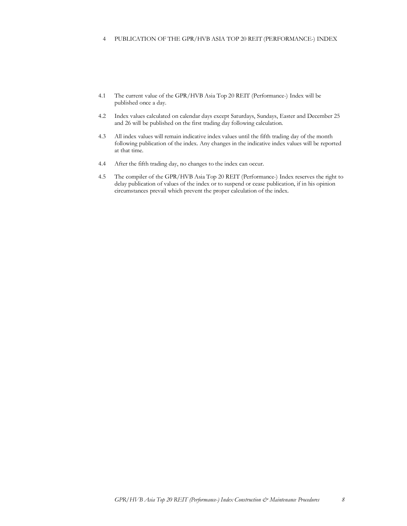## 4 PUBLICATION OF THE GPR/HVB ASIA TOP 20 REIT (PERFORMANCE-) INDEX

- 4.1 The current value of the GPR/HVB Asia Top 20 REIT (Performance-) Index will be published once a day.
- 4.2 Index values calculated on calendar days except Saturdays, Sundays, Easter and December 25 and 26 will be published on the first trading day following calculation.
- 4.3 All index values will remain indicative index values until the fifth trading day of the month following publication of the index. Any changes in the indicative index values will be reported at that time.
- 4.4 After the fifth trading day, no changes to the index can occur.
- 4.5 The compiler of the GPR/HVB Asia Top 20 REIT (Performance-) Index reserves the right to delay publication of values of the index or to suspend or cease publication, if in his opinion circumstances prevail which prevent the proper calculation of the index.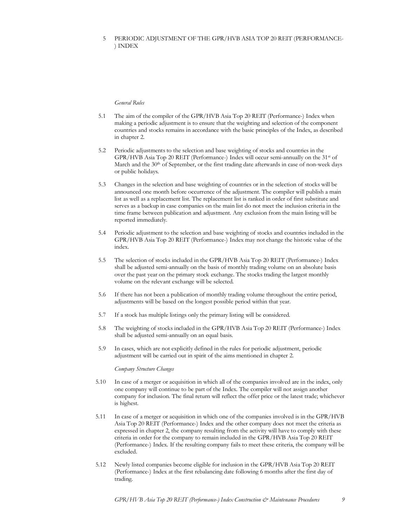## 5 PERIODIC ADJUSTMENT OF THE GPR/HVB ASIA TOP 20 REIT (PERFORMANCE- ) INDEX

## *General Rules*

- 5.1 The aim of the compiler of the GPR/HVB Asia Top 20 REIT (Performance-) Index when making a periodic adjustment is to ensure that the weighting and selection of the component countries and stocks remains in accordance with the basic principles of the Index, as described in chapter 2.
- 5.2 Periodic adjustments to the selection and base weighting of stocks and countries in the GPR/HVB Asia Top 20 REIT (Performance-) Index will occur semi-annually on the 31st of March and the 30<sup>th</sup> of September, or the first trading date afterwards in case of non-week days or public holidays.
- 5.3 Changes in the selection and base weighting of countries or in the selection of stocks will be announced one month before occurrence of the adjustment. The compiler will publish a main list as well as a replacement list. The replacement list is ranked in order of first substitute and serves as a backup in case companies on the main list do not meet the inclusion criteria in the time frame between publication and adjustment. Any exclusion from the main listing will be reported immediately.
- 5.4 Periodic adjustment to the selection and base weighting of stocks and countries included in the GPR/HVB Asia Top 20 REIT (Performance-) Index may not change the historic value of the index.
- 5.5 The selection of stocks included in the GPR/HVB Asia Top 20 REIT (Performance-) Index shall be adjusted semi-annually on the basis of monthly trading volume on an absolute basis over the past year on the primary stock exchange. The stocks trading the largest monthly volume on the relevant exchange will be selected.
- 5.6 If there has not been a publication of monthly trading volume throughout the entire period, adjustments will be based on the longest possible period within that year.
- 5.7 If a stock has multiple listings only the primary listing will be considered.
- 5.8 The weighting of stocks included in the GPR/HVB Asia Top 20 REIT (Performance-) Index shall be adjusted semi-annually on an equal basis.
- 5.9 In cases, which are not explicitly defined in the rules for periodic adjustment, periodic adjustment will be carried out in spirit of the aims mentioned in chapter 2.

#### *Company Structure Changes*

- 5.10 In case of a merger or acquisition in which all of the companies involved are in the index, only one company will continue to be part of the Index. The compiler will not assign another company for inclusion. The final return will reflect the offer price or the latest trade; whichever is highest.
- 5.11 In case of a merger or acquisition in which one of the companies involved is in the GPR/HVB Asia Top 20 REIT (Performance-) Index and the other company does not meet the criteria as expressed in chapter 2, the company resulting from the activity will have to comply with these criteria in order for the company to remain included in the GPR/HVB Asia Top 20 REIT (Performance-) Index. If the resulting company fails to meet these criteria, the company will be excluded.
- 5.12 Newly listed companies become eligible for inclusion in the GPR/HVB Asia Top 20 REIT (Performance-) Index at the first rebalancing date following 6 months after the first day of trading.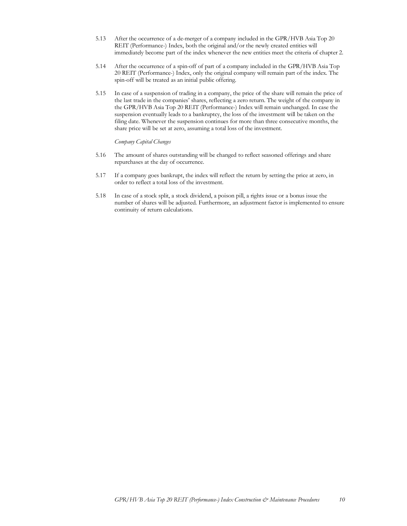- 5.13 After the occurrence of a de-merger of a company included in the GPR/HVB Asia Top 20 REIT (Performance-) Index, both the original and/or the newly created entities will immediately become part of the index whenever the new entities meet the criteria of chapter 2.
- 5.14 After the occurrence of a spin-off of part of a company included in the GPR/HVB Asia Top 20 REIT (Performance-) Index, only the original company will remain part of the index. The spin-off will be treated as an initial public offering.
- 5.15 In case of a suspension of trading in a company, the price of the share will remain the price of the last trade in the companies' shares, reflecting a zero return. The weight of the company in the GPR/HVB Asia Top 20 REIT (Performance-) Index will remain unchanged. In case the suspension eventually leads to a bankruptcy, the loss of the investment will be taken on the filing date. Whenever the suspension continues for more than three consecutive months, the share price will be set at zero, assuming a total loss of the investment.

*Company Capital Changes*

- 5.16 The amount of shares outstanding will be changed to reflect seasoned offerings and share repurchases at the day of occurrence.
- 5.17 If a company goes bankrupt, the index will reflect the return by setting the price at zero, in order to reflect a total loss of the investment.
- 5.18 In case of a stock split, a stock dividend, a poison pill, a rights issue or a bonus issue the number of shares will be adjusted. Furthermore, an adjustment factor is implemented to ensure continuity of return calculations.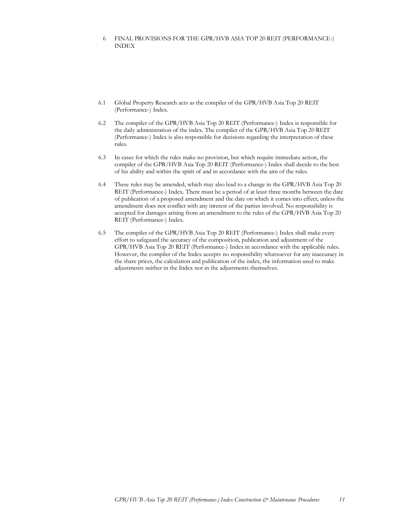## 6 FINAL PROVISIONS FOR THE GPR/HVB ASIA TOP 20 REIT (PERFORMANCE-) INDEX

- 6.1 Global Property Research acts as the compiler of the GPR/HVB Asia Top 20 REIT (Performance-) Index.
- 6.2 The compiler of the GPR/HVB Asia Top 20 REIT (Performance-) Index is responsible for the daily administration of the index. The compiler of the GPR/HVB Asia Top 20 REIT (Performance-) Index is also responsible for decisions regarding the interpretation of these rules.
- 6.3 In cases for which the rules make no provision, but which require immediate action, the compiler of the GPR/HVB Asia Top 20 REIT (Performance-) Index shall decide to the best of his ability and within the spirit of and in accordance with the aim of the rules.
- 6.4 These rules may be amended, which may also lead to a change in the GPR/HVB Asia Top 20 REIT (Performance-) Index. There must be a period of at least three months between the date of publication of a proposed amendment and the date on which it comes into effect, unless the amendment does not conflict with any interest of the parties involved. No responsibility is accepted for damages arising from an amendment to the rules of the GPR/HVB Asia Top 20 REIT (Performance-) Index.
- 6.5 The compiler of the GPR/HVB Asia Top 20 REIT (Performance-) Index shall make every effort to safeguard the accuracy of the composition, publication and adjustment of the GPR/HVB Asia Top 20 REIT (Performance-) Index in accordance with the applicable rules. However, the compiler of the Index accepts no responsibility whatsoever for any inaccuracy in the share prices, the calculation and publication of the index, the information used to make adjustments neither in the Index nor in the adjustments themselves.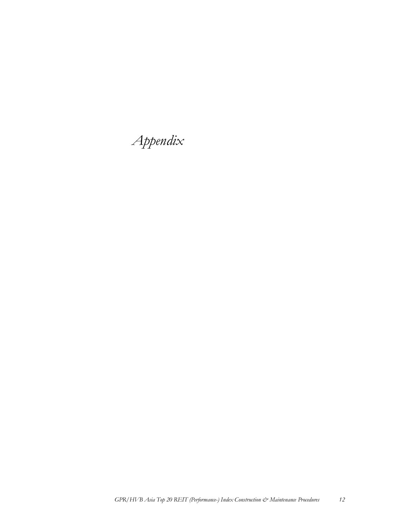*Appendix*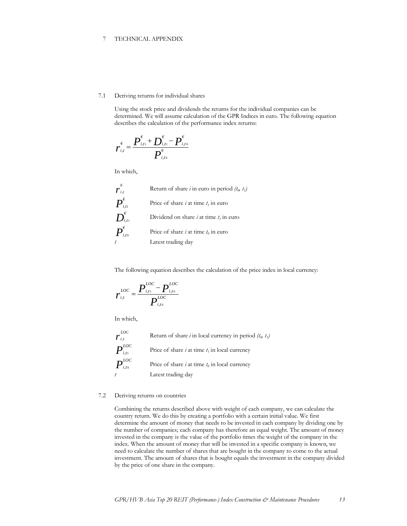## 7 TECHNICAL APPENDIX

#### 7.1 Deriving returns for individual shares

Using the stock price and dividends the returns for the individual companies can be determined. We will assume calculation of the GPR Indices in euro. The following equation describes the calculation of the performance index returns:

$$
r_{i,t}^{\epsilon} = \frac{P_{i,t}^{\epsilon} + D_{i,t}^{\epsilon} - P_{i,t_0}^{\epsilon}}{P_{i,t_0}^{\epsilon}}
$$

In which,

| $\overline{r}_{\scriptscriptstyle i,t}^\epsilon$                                                                   | Return of share <i>i</i> in euro in period $(t_0, t_1)$ |
|--------------------------------------------------------------------------------------------------------------------|---------------------------------------------------------|
| $\boldsymbol{P}_{\scriptscriptstyle i{\scriptscriptstyle,}t{\scriptscriptstyle 1}}^{\scriptscriptstyle\mathsf{E}}$ | Price of share <i>i</i> at time $t_i$ in euro           |
| $\boldsymbol{D}_{\scriptscriptstyle i{\scriptscriptstyle f} \scriptscriptstyle 1}^{\scriptscriptstyle 6}$          | Dividend on share $i$ at time $t_i$ in euro             |
| $\overline{P}_{\scriptscriptstyle i,t\scriptscriptstyle 0}^{\scriptscriptstyle\epsilon}$                           | Price of share <i>i</i> at time $t_0$ in euro           |
|                                                                                                                    | Latest trading day                                      |

The following equation describes the calculation of the price index in local currency:

$$
r_{i,t}^{LOC} = \frac{P_{i,t1}^{LOC} - P_{i,t0}^{LOC}}{P_{i,t0}^{LOC}}
$$

In which,

 $\boldsymbol{r}^{\text{\tiny LQ}}_{\scriptscriptstyle i,t}$ *LOC* Return of share *i* in local currency in period *(t<sup>0</sup> , t1 )*  $\bm{P}^{\scriptscriptstyle LOC}_{\scriptscriptstyle i,n}$ *i*,*t*1 Price of share *i* at time *t<sup>1</sup>* in local currency  $\bm{P}^{\scriptscriptstyle LOC}_{\scriptscriptstyle i,t0}$ *i*,*t* 0 Price of share *i* at time *t<sup>0</sup>* in local currency *t* Latest trading day

## 7.2 Deriving returns on countries

Combining the returns described above with weight of each company, we can calculate the country return. We do this by creating a portfolio with a certain initial value. We first determine the amount of money that needs to be invested in each company by dividing one by the number of companies; each company has therefore an equal weight. The amount of money invested in the company is the value of the portfolio times the weight of the company in the index. When the amount of money that will be invested in a specific company is known, we need to calculate the number of shares that are bought in the company to come to the actual investment. The amount of shares that is bought equals the investment in the company divided by the price of one share in the company.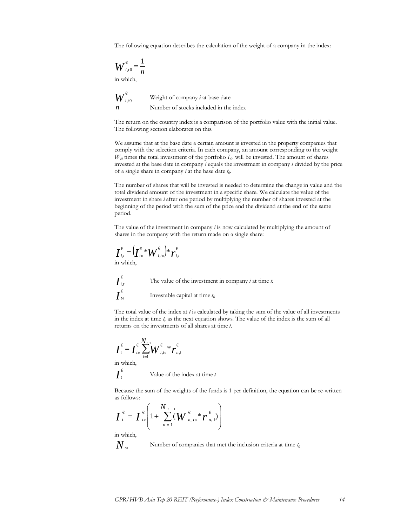The following equation describes the calculation of the weight of a company in the index:

$$
\boldsymbol{W}_{i,t0}^{\epsilon} = \frac{1}{n}
$$

in which,

$$
W_{i,t0}^{\epsilon}
$$
 Weight of company *i* at base date  
*n* Number of stocks included in the index

The return on the country index is a comparison of the portfolio value with the initial value. The following section elaborates on this.

We assume that at the base date a certain amount is invested in the property companies that comply with the selection criteria. In each company, an amount corresponding to the weight  $W_{\nu 0}$  times the total investment of the portfolio  $I_{\nu 0}$  will be invested. The amount of shares invested at the base date in company *i* equals the investment in company *i* divided by the price of a single share in company *i* at the base date *t<sup>0</sup>* .

The number of shares that will be invested is needed to determine the change in value and the total dividend amount of the investment in a specific share. We calculate the value of the investment in share *i* after one period by multiplying the number of shares invested at the beginning of the period with the sum of the price and the dividend at the end of the same period.

The value of the investment in company *i* is now calculated by multiplying the amount of shares in the company with the return made on a single share:

$$
\boldsymbol{I}_{i,t}^{\epsilon} = \left(\boldsymbol{I}_{t_0}^{\epsilon} * \boldsymbol{W}_{i,t_0}^{\epsilon}\right) * \boldsymbol{r}_{i,t}^{\epsilon}
$$
 in which,



The total value of the index at  $t$  is calculated by taking the sum of the value of all investments in the index at time *t*, as the next equation shows. The value of the index is the sum of all returns on the investments of all shares at time *t*.

$$
\boldsymbol{I}_{t}^{\epsilon} = \boldsymbol{I}_{t0}^{\epsilon} \sum_{i=1}^{N_{t-1}} \boldsymbol{W}_{i,t0}^{\epsilon} \boldsymbol{\ast} \boldsymbol{r}_{n,t}^{\epsilon}
$$

in which,

$$
\int_{t}^{\varepsilon}
$$
 Value of the index at time *t*

Because the sum of the weights of the funds is 1 per definition, the equation can be re-written as follows:

$$
\boldsymbol{I}_{t}^{\epsilon} = \boldsymbol{I}_{t0}^{\epsilon} \left( 1 + \sum_{n=1}^{N_{t-1}} (\boldsymbol{W}_{n,t0}^{\epsilon} \boldsymbol{r}_{n,t}^{\epsilon}) \right)
$$

in which,

 $N_{\scriptscriptstyle t0}$ 

Number of companies that met the inclusion criteria at time 
$$
t_0
$$